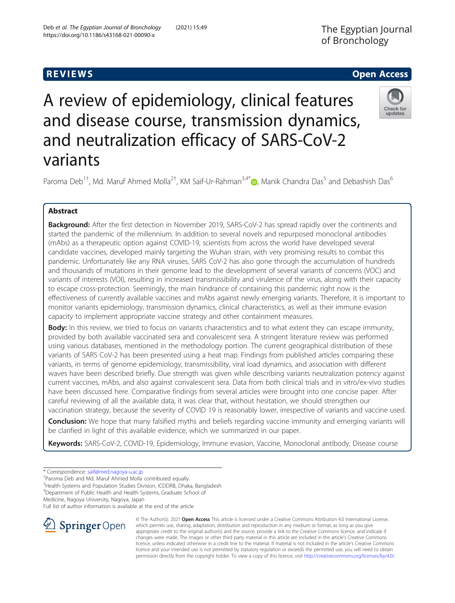# **REVIEWS REVIEWS CONSULTER ACCESS**

# A review of epidemiology, clinical features and disease course, transmission dynamics, and neutralization efficacy of SARS-CoV-2 variants



Paroma Deb<sup>1†</sup>, Md. Maruf Ahmed Molla<sup>2†</sup>, KM Saif-Ur-Rahman<sup>3,4[\\*](http://orcid.org/0000-0001-8702-7094)</sup>®, Manik Chandra Das<sup>5</sup> and Debashish Das<sup>6</sup>

# Abstract

Background: After the first detection in November 2019, SARS-CoV-2 has spread rapidly over the continents and started the pandemic of the millennium. In addition to several novels and repurposed monoclonal antibodies (mAbs) as a therapeutic option against COVID-19, scientists from across the world have developed several candidate vaccines, developed mainly targeting the Wuhan strain, with very promising results to combat this pandemic. Unfortunately like any RNA viruses, SARS CoV-2 has also gone through the accumulation of hundreds and thousands of mutations in their genome lead to the development of several variants of concerns (VOC) and variants of interests (VOI), resulting in increased transmissibility and virulence of the virus, along with their capacity to escape cross-protection. Seemingly, the main hindrance of containing this pandemic right now is the effectiveness of currently available vaccines and mAbs against newly emerging variants. Therefore, it is important to monitor variants epidemiology, transmission dynamics, clinical characteristics, as well as their immune evasion capacity to implement appropriate vaccine strategy and other containment measures.

Body: In this review, we tried to focus on variants characteristics and to what extent they can escape immunity, provided by both available vaccinated sera and convalescent sera. A stringent literature review was performed using various databases, mentioned in the methodology portion. The current geographical distribution of these variants of SARS CoV-2 has been presented using a heat map. Findings from published articles comparing these variants, in terms of genome epidemiology, transmissibility, viral load dynamics, and association with different waves have been described briefly. Due strength was given while describing variants neutralization potency against current vaccines, mAbs, and also against convalescent sera. Data from both clinical trials and in vitro/ex-vivo studies have been discussed here. Comparative findings from several articles were brought into one concise paper. After careful reviewing of all the available data, it was clear that, without hesitation, we should strengthen our vaccination strategy, because the severity of COVID 19 is reasonably lower, irrespective of variants and vaccine used.

Conclusion: We hope that many falsified myths and beliefs regarding vaccine immunity and emerging variants will be clarified in light of this available evidence, which we summarized in our paper.

Keywords: SARS-CoV-2, COVID-19, Epidemiology, Immune evasion, Vaccine, Monoclonal antibody, Disease course

<sup>4</sup>Department of Public Health and Health Systems, Graduate School of

Medicine, Nagoya University, Nagoya, Japan

Full list of author information is available at the end of the article



© The Author(s). 2021 Open Access This article is licensed under a Creative Commons Attribution 4.0 International License, which permits use, sharing, adaptation, distribution and reproduction in any medium or format, as long as you give appropriate credit to the original author(s) and the source, provide a link to the Creative Commons licence, and indicate if changes were made. The images or other third party material in this article are included in the article's Creative Commons licence, unless indicated otherwise in a credit line to the material. If material is not included in the article's Creative Commons licence and your intended use is not permitted by statutory regulation or exceeds the permitted use, you will need to obtain permission directly from the copyright holder. To view a copy of this licence, visit <http://creativecommons.org/licenses/by/4.0/>.

<sup>\*</sup> Correspondence: [saif@med.nagoya-u.ac.jp](mailto:saif@med.nagoya-u.ac.jp) †

Paroma Deb and Md. Maruf Ahmed Molla contributed equally.

<sup>&</sup>lt;sup>3</sup>Health Systems and Population Studies Division, ICDDRB, Dhaka, Bangladesh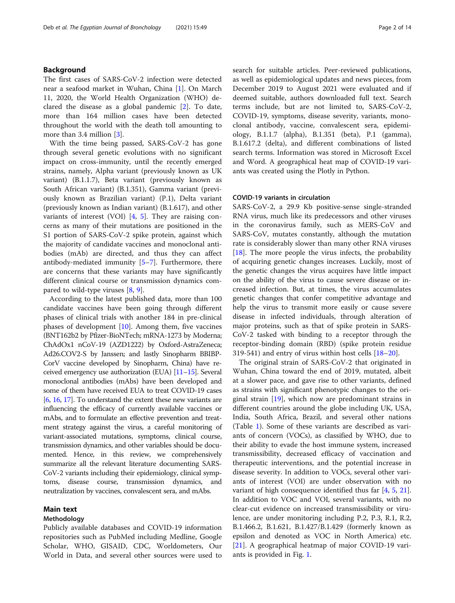#### Background

The first cases of SARS-CoV-2 infection were detected near a seafood market in Wuhan, China [[1\]](#page-10-0). On March 11, 2020, the World Health Organization (WHO) declared the disease as a global pandemic [[2\]](#page-10-0). To date, more than 164 million cases have been detected throughout the world with the death toll amounting to more than 3.4 million [\[3](#page-10-0)].

With the time being passed, SARS-CoV-2 has gone through several genetic evolutions with no significant impact on cross-immunity, until the recently emerged strains, namely, Alpha variant (previously known as UK variant) (B.1.1.7), Beta variant (previously known as South African variant) (B.1.351), Gamma variant (previously known as Brazilian variant) (P.1), Delta variant (previously known as Indian variant) (B.1.617), and other variants of interest (VOI)  $[4, 5]$  $[4, 5]$  $[4, 5]$ . They are raising concerns as many of their mutations are positioned in the S1 portion of SARS-CoV-2 spike protein, against which the majority of candidate vaccines and monoclonal antibodies (mAb) are directed, and thus they can affect antibody-mediated immunity [\[5](#page-10-0)–[7\]](#page-10-0). Furthermore, there are concerns that these variants may have significantly different clinical course or transmission dynamics compared to wild-type viruses [[8,](#page-10-0) [9\]](#page-10-0).

According to the latest published data, more than 100 candidate vaccines have been going through different phases of clinical trials with another 184 in pre-clinical phases of development [[10](#page-10-0)]. Among them, five vaccines (BNT162b2 by Pfizer-BioNTech; mRNA-1273 by Moderna; ChAdOx1 nCoV-19 (AZD1222) by Oxford-AstraZeneca; Ad26.COV2-S by Janssen; and lastly Sinopharm BBIBP-CorV vaccine developed by Sinopharm, China) have received emergency use authorization (EUA) [\[11](#page-10-0)–[15](#page-10-0)]. Several monoclonal antibodies (mAbs) have been developed and some of them have received EUA to treat COVID-19 cases [[6](#page-10-0), [16,](#page-10-0) [17\]](#page-11-0). To understand the extent these new variants are influencing the efficacy of currently available vaccines or mAbs, and to formulate an effective prevention and treatment strategy against the virus, a careful monitoring of variant-associated mutations, symptoms, clinical course, transmission dynamics, and other variables should be documented. Hence, in this review, we comprehensively summarize all the relevant literature documenting SARS-CoV-2 variants including their epidemiology, clinical symptoms, disease course, transmission dynamics, and neutralization by vaccines, convalescent sera, and mAbs.

#### Main text

#### Methodology

Publicly available databases and COVID-19 information repositories such as PubMed including Medline, Google Scholar, WHO, GISAID, CDC, Worldometers, Our World in Data, and several other sources were used to search for suitable articles. Peer-reviewed publications, as well as epidemiological updates and news pieces, from December 2019 to August 2021 were evaluated and if deemed suitable, authors downloaded full text. Search terms include, but are not limited to, SARS-CoV-2, COVID-19, symptoms, disease severity, variants, monoclonal antibody, vaccine, convalescent sera, epidemiology, B.1.1.7 (alpha), B.1.351 (beta), P.1 (gamma), B.1.617.2 (delta), and different combinations of listed search terms. Information was stored in Microsoft Excel and Word. A geographical heat map of COVID-19 variants was created using the Plotly in Python.

#### COVID-19 variants in circulation

SARS-CoV-2, a 29.9 Kb positive-sense single-stranded RNA virus, much like its predecessors and other viruses in the coronavirus family, such as MERS-CoV and SARS-CoV, mutates constantly, although the mutation rate is considerably slower than many other RNA viruses [[18\]](#page-11-0). The more people the virus infects, the probability of acquiring genetic changes increases. Luckily, most of the genetic changes the virus acquires have little impact on the ability of the virus to cause severe disease or increased infection. But, at times, the virus accumulates genetic changes that confer competitive advantage and help the virus to transmit more easily or cause severe disease in infected individuals, through alteration of major proteins, such as that of spike protein in SARS-CoV-2 tasked with binding to a receptor through the receptor-binding domain (RBD) (spike protein residue 319-541) and entry of virus within host cells [\[18](#page-11-0)–[20](#page-11-0)].

The original strain of SARS-CoV-2 that originated in Wuhan, China toward the end of 2019, mutated, albeit at a slower pace, and gave rise to other variants, defined as strains with significant phenotypic changes to the original strain [\[19](#page-11-0)], which now are predominant strains in different countries around the globe including UK, USA, India, South Africa, Brazil, and several other nations (Table [1\)](#page-2-0). Some of these variants are described as variants of concern (VOCs), as classified by WHO, due to their ability to evade the host immune system, increased transmissibility, decreased efficacy of vaccination and therapeutic interventions, and the potential increase in disease severity. In addition to VOCs, several other variants of interest (VOI) are under observation with no variant of high consequence identified thus far [\[4,](#page-10-0) [5](#page-10-0), [21](#page-11-0)]. In addition to VOC and VOI, several variants, with no clear-cut evidence on increased transmissibility or virulence, are under monitoring including P.2, P.3, R.1, R.2, B.1.466.2, B.1.621, B.1.427/B.1.429 (formerly known as epsilon and denoted as VOC in North America) etc. [[21\]](#page-11-0). A geographical heatmap of major COVID-19 variants is provided in Fig. [1.](#page-2-0)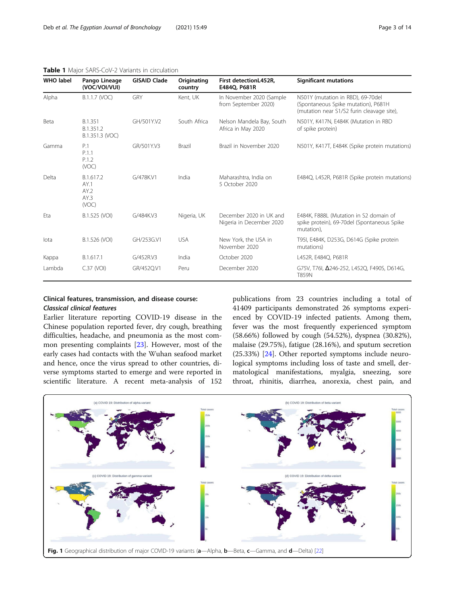| <b>WHO label</b> | Pango Lineage<br>(VOC/VOI/VUI)             | <b>GISAID Clade</b> | Originating<br>country | First detectionL452R,<br>E484Q, P681R               | <b>Significant mutations</b>                                                                                           |
|------------------|--------------------------------------------|---------------------|------------------------|-----------------------------------------------------|------------------------------------------------------------------------------------------------------------------------|
| Alpha            | B.1.1.7 (VOC)                              | GRY                 | Kent, UK               | In November 2020 (Sample<br>from September 2020)    | N501Y (mutation in RBD), 69-70del<br>(Spontaneous Spike mutation), P681H<br>(mutation near S1/S2 furin cleavage site), |
| Beta             | B.1.351<br>B.1.351.2<br>B.1.351.3 (VOC)    | GH/501Y.V2          | South Africa           | Nelson Mandela Bay, South<br>Africa in May 2020     | N501Y, K417N, E484K (Mutation in RBD<br>of spike protein)                                                              |
| Gamma            | P.1<br>P.1.1<br>P.1.2<br>(VOC)             | GR/501Y.V3          | <b>Brazil</b>          | Brazil in November 2020                             | N501Y, K417T, E484K (Spike protein mutations)                                                                          |
| Delta            | B.1.617.2<br>AY.1<br>AY.2<br>AY.3<br>(VOC) | G/478K.V1           | India                  | Maharashtra, India on<br>5 October 2020             | E484Q, L452R, P681R (Spike protein mutations)                                                                          |
| Eta              | B.1.525 (VOI)                              | G/484K.V3           | Nigeria, UK            | December 2020 in UK and<br>Nigeria in December 2020 | E484K, F888L (Mutation in S2 domain of<br>spike protein), 69-70del (Spontaneous Spike<br>mutation),                    |
| lota             | B.1.526 (VOI)                              | GH/253G.V1          | <b>USA</b>             | New York, the USA in<br>November 2020               | T95I, E484K, D253G, D614G (Spike protein<br>mutations)                                                                 |
| Kappa            | B.1.617.1                                  | G/452R.V3           | India                  | October 2020                                        | L452R, E484Q, P681R                                                                                                    |
| Lambda           | $C.37$ (VOI)                               | GR/452Q.V1          | Peru                   | December 2020                                       | G75V, T76I, Δ246-252, L452Q, F490S, D614G,<br><b>T859N</b>                                                             |

#### <span id="page-2-0"></span>Table 1 Major SARS-CoV-2 Variants in circulation

#### Clinical features, transmission, and disease course: Classical clinical features

Earlier literature reporting COVID-19 disease in the Chinese population reported fever, dry cough, breathing difficulties, headache, and pneumonia as the most common presenting complaints [[23\]](#page-11-0). However, most of the early cases had contacts with the Wuhan seafood market and hence, once the virus spread to other countries, diverse symptoms started to emerge and were reported in scientific literature. A recent meta-analysis of 152

publications from 23 countries including a total of 41409 participants demonstrated 26 symptoms experienced by COVID-19 infected patients. Among them, fever was the most frequently experienced symptom (58.66%) followed by cough (54.52%), dyspnea (30.82%), malaise (29.75%), fatigue (28.16%), and sputum secretion (25.33%) [[24](#page-11-0)]. Other reported symptoms include neurological symptoms including loss of taste and smell, dermatological manifestations, myalgia, sneezing, sore throat, rhinitis, diarrhea, anorexia, chest pain, and

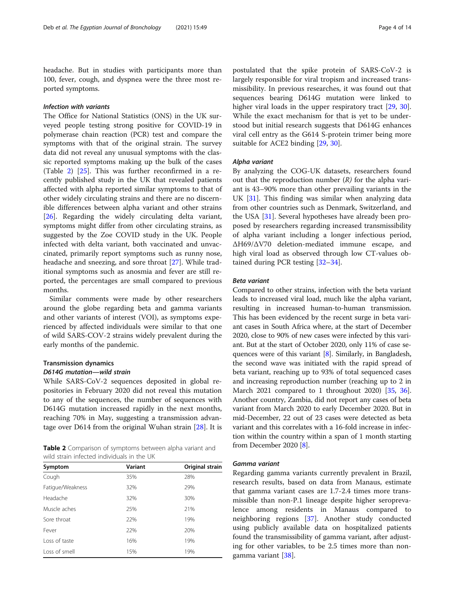headache. But in studies with participants more than 100, fever, cough, and dyspnea were the three most reported symptoms.

#### Infection with variants

The Office for National Statistics (ONS) in the UK surveyed people testing strong positive for COVID-19 in polymerase chain reaction (PCR) test and compare the symptoms with that of the original strain. The survey data did not reveal any unusual symptoms with the classic reported symptoms making up the bulk of the cases (Table 2) [\[25](#page-11-0)]. This was further reconfirmed in a recently published study in the UK that revealed patients affected with alpha reported similar symptoms to that of other widely circulating strains and there are no discernible differences between alpha variant and other strains [[26\]](#page-11-0). Regarding the widely circulating delta variant, symptoms might differ from other circulating strains, as suggested by the Zoe COVID study in the UK. People infected with delta variant, both vaccinated and unvaccinated, primarily report symptoms such as runny nose, headache and sneezing, and sore throat [[27](#page-11-0)]. While traditional symptoms such as anosmia and fever are still reported, the percentages are small compared to previous months.

Similar comments were made by other researchers around the globe regarding beta and gamma variants and other variants of interest (VOI), as symptoms experienced by affected individuals were similar to that one of wild SARS-COV-2 strains widely prevalent during the early months of the pandemic.

### Transmission dynamics

#### D614G mutation—wild strain

While SARS-CoV-2 sequences deposited in global repositories in February 2020 did not reveal this mutation to any of the sequences, the number of sequences with D614G mutation increased rapidly in the next months, reaching 70% in May, suggesting a transmission advantage over D614 from the original Wuhan strain [[28\]](#page-11-0). It is

|                                            |  | <b>Table 2</b> Comparison of symptoms between alpha variant and |  |  |
|--------------------------------------------|--|-----------------------------------------------------------------|--|--|
| wild strain infected individuals in the UK |  |                                                                 |  |  |

| Symptom          | Variant | Original strain |
|------------------|---------|-----------------|
| Cough            | 35%     | 28%             |
| Fatigue/Weakness | 32%     | 29%             |
| Headache         | 32%     | 30%             |
| Muscle aches     | 25%     | 21%             |
| Sore throat      | 22%     | 19%             |
| Fever            | 22%     | 20%             |
| Loss of taste    | 16%     | 19%             |
| Loss of smell    | 15%     | 19%             |

postulated that the spike protein of SARS-CoV-2 is largely responsible for viral tropism and increased transmissibility. In previous researches, it was found out that sequences bearing D614G mutation were linked to higher viral loads in the upper respiratory tract [\[29,](#page-11-0) [30](#page-11-0)]. While the exact mechanism for that is yet to be understood but initial research suggests that D614G enhances viral cell entry as the G614 S-protein trimer being more suitable for ACE2 binding [[29](#page-11-0), [30](#page-11-0)].

#### Alpha variant

By analyzing the COG-UK datasets, researchers found out that the reproduction number  $(R)$  for the alpha variant is 43–90% more than other prevailing variants in the UK [[31\]](#page-11-0). This finding was similar when analyzing data from other countries such as Denmark, Switzerland, and the USA [\[31](#page-11-0)]. Several hypotheses have already been proposed by researchers regarding increased transmissibility of alpha variant including a longer infectious period, ΔH69/ΔV70 deletion-mediated immune escape, and high viral load as observed through low CT-values obtained during PCR testing [\[32](#page-11-0)–[34\]](#page-11-0).

#### Beta variant

Compared to other strains, infection with the beta variant leads to increased viral load, much like the alpha variant, resulting in increased human-to-human transmission. This has been evidenced by the recent surge in beta variant cases in South Africa where, at the start of December 2020, close to 90% of new cases were infected by this variant. But at the start of October 2020, only 11% of case sequences were of this variant [\[8\]](#page-10-0). Similarly, in Bangladesh, the second wave was initiated with the rapid spread of beta variant, reaching up to 93% of total sequenced cases and increasing reproduction number (reaching up to 2 in March 2021 compared to 1 throughout 2020) [\[35,](#page-11-0) [36](#page-11-0)]. Another country, Zambia, did not report any cases of beta variant from March 2020 to early December 2020. But in mid-December, 22 out of 23 cases were detected as beta variant and this correlates with a 16-fold increase in infection within the country within a span of 1 month starting from December 2020 [\[8](#page-10-0)].

#### Gamma variant

Regarding gamma variants currently prevalent in Brazil, research results, based on data from Manaus, estimate that gamma variant cases are 1.7-2.4 times more transmissible than non-P.1 lineage despite higher seroprevalence among residents in Manaus compared to neighboring regions [[37\]](#page-11-0). Another study conducted using publicly available data on hospitalized patients found the transmissibility of gamma variant, after adjusting for other variables, to be 2.5 times more than nongamma variant [[38\]](#page-11-0).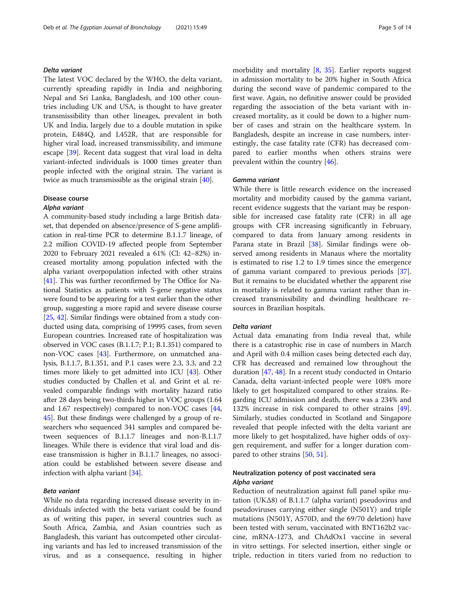#### Delta variant

The latest VOC declared by the WHO, the delta variant, currently spreading rapidly in India and neighboring Nepal and Sri Lanka, Bangladesh, and 100 other countries including UK and USA, is thought to have greater transmissibility than other lineages, prevalent in both UK and India, largely due to a double mutation in spike protein, E484Q, and L452R, that are responsible for higher viral load, increased transmissibility, and immune escape [\[39](#page-11-0)]. Recent data suggest that viral load in delta variant-infected individuals is 1000 times greater than people infected with the original strain. The variant is twice as much transmissible as the original strain [[40](#page-11-0)].

#### Disease course

#### Alpha variant

A community-based study including a large British dataset, that depended on absence/presence of S-gene amplification in real-time PCR to determine B.1.1.7 lineage, of 2.2 million COVID-19 affected people from September 2020 to February 2021 revealed a 61% (CI: 42–82%) increased mortality among population infected with the alpha variant overpopulation infected with other strains [[41](#page-11-0)]. This was further reconfirmed by The Office for National Statistics as patients with S-gene negative status were found to be appearing for a test earlier than the other group, suggesting a more rapid and severe disease course [[25](#page-11-0), [42](#page-11-0)]. Similar findings were obtained from a study conducted using data, comprising of 19995 cases, from seven European countries. Increased rate of hospitalization was observed in VOC cases (B.1.1.7; P.1; B.1.351) compared to non-VOC cases [\[43\]](#page-11-0). Furthermore, on unmatched analysis, B.1.1.7, B.1.351, and P.1 cases were 2.3, 3.3, and 2.2 times more likely to get admitted into ICU [\[43](#page-11-0)]. Other studies conducted by Challen et al. and Grint et al. revealed comparable findings with mortality hazard ratio after 28 days being two-thirds higher in VOC groups (1.64 and 1.67 respectively) compared to non-VOC cases [[44](#page-11-0), [45](#page-11-0)]. But these findings were challenged by a group of researchers who sequenced 341 samples and compared between sequences of B.1.1.7 lineages and non-B.1.1.7 lineages. While there is evidence that viral load and disease transmission is higher in B.1.1.7 lineages, no association could be established between severe disease and infection with alpha variant [[34\]](#page-11-0).

#### Beta variant

While no data regarding increased disease severity in individuals infected with the beta variant could be found as of writing this paper, in several countries such as South Africa, Zambia, and Asian countries such as Bangladesh, this variant has outcompeted other circulating variants and has led to increased transmission of the virus, and as a consequence, resulting in higher morbidity and mortality [\[8](#page-10-0), [35](#page-11-0)]. Earlier reports suggest in admission mortality to be 20% higher in South Africa during the second wave of pandemic compared to the first wave. Again, no definitive answer could be provided regarding the association of the beta variant with increased mortality, as it could be down to a higher number of cases and strain on the healthcare system. In Bangladesh, despite an increase in case numbers, interestingly, the case fatality rate (CFR) has decreased compared to earlier months when others strains were prevalent within the country [[46](#page-11-0)].

#### Gamma variant

While there is little research evidence on the increased mortality and morbidity caused by the gamma variant, recent evidence suggests that the variant may be responsible for increased case fatality rate (CFR) in all age groups with CFR increasing significantly in February, compared to data from January among residents in Parana state in Brazil [\[38](#page-11-0)]. Similar findings were observed among residents in Manaus where the mortality is estimated to rise 1.2 to 1.9 times since the emergence of gamma variant compared to previous periods [\[37](#page-11-0)]. But it remains to be elucidated whether the apparent rise in mortality is related to gamma variant rather than increased transmissibility and dwindling healthcare resources in Brazilian hospitals.

#### Delta variant

Actual data emanating from India reveal that, while there is a catastrophic rise in case of numbers in March and April with 0.4 million cases being detected each day, CFR has decreased and remained low throughout the duration [[47](#page-11-0), [48](#page-11-0)]. In a recent study conducted in Ontario Canada, delta variant-infected people were 108% more likely to get hospitalized compared to other strains. Regarding ICU admission and death, there was a 234% and 132% increase in risk compared to other strains [\[49](#page-11-0)]. Similarly, studies conducted in Scotland and Singapore revealed that people infected with the delta variant are more likely to get hospitalized, have higher odds of oxygen requirement, and suffer for a longer duration compared to other strains [\[50](#page-11-0), [51](#page-11-0)].

#### Neutralization potency of post vaccinated sera Alpha variant

Reduction of neutralization against full panel spike mutation (UKΔ8) of B.1.1.7 (alpha variant) pseudovirus and pseudoviruses carrying either single (N501Y) and triple mutations (N501Y, A570D, and the 69/70 deletion) have been tested with serum, vaccinated with BNT162b2 vaccine, mRNA-1273, and ChAdOx1 vaccine in several in vitro settings. For selected insertion, either single or triple, reduction in titers varied from no reduction to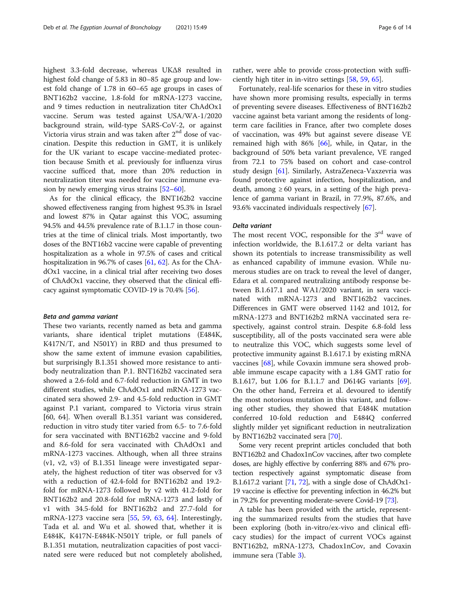highest 3.3-fold decrease, whereas UKΔ8 resulted in highest fold change of 5.83 in 80–85 age group and lowest fold change of 1.78 in 60–65 age groups in cases of BNT162b2 vaccine, 1.8-fold for mRNA-1273 vaccine, and 9 times reduction in neutralization titer ChAdOx1 vaccine. Serum was tested against USA/WA-1/2020 background strain, wild-type SARS-CoV-2, or against Victoria virus strain and was taken after 2<sup>nd</sup> dose of vaccination. Despite this reduction in GMT, it is unlikely for the UK variant to escape vaccine-mediated protection because Smith et al. previously for influenza virus vaccine sufficed that, more than 20% reduction in neutralization titer was needed for vaccine immune evasion by newly emerging virus strains [\[52](#page-11-0)–[60\]](#page-12-0).

As for the clinical efficacy, the BNT162b2 vaccine showed effectiveness ranging from highest 95.3% in Israel and lowest 87% in Qatar against this VOC, assuming 94.5% and 44.5% prevalence rate of B.1.1.7 in those countries at the time of clinical trials. Most importantly, two doses of the BNT16b2 vaccine were capable of preventing hospitalization as a whole in 97.5% of cases and critical hospitalization in 96.7% of cases [\[61,](#page-12-0) [62\]](#page-12-0). As for the ChAdOx1 vaccine, in a clinical trial after receiving two doses of ChAdOx1 vaccine, they observed that the clinical efficacy against symptomatic COVID-19 is 70.4% [[56](#page-12-0)].

#### Beta and gamma variant

These two variants, recently named as beta and gamma variants, share identical triplet mutations (E484K, K417N/T, and N501Y) in RBD and thus presumed to show the same extent of immune evasion capabilities, but surprisingly B.1.351 showed more resistance to antibody neutralization than P.1. BNT162b2 vaccinated sera showed a 2.6-fold and 6.7-fold reduction in GMT in two different studies, while ChAdOx1 and mRNA-1273 vaccinated sera showed 2.9- and 4.5-fold reduction in GMT against P.1 variant, compared to Victoria virus strain [60, 64]. When overall B.1.351 variant was considered, reduction in vitro study titer varied from 6.5- to 7.6-fold for sera vaccinated with BNT162b2 vaccine and 9-fold and 8.6-fold for sera vaccinated with ChAdOx1 and mRNA-1273 vaccines. Although, when all three strains (v1, v2, v3) of B.1.351 lineage were investigated separately, the highest reduction of titer was observed for v3 with a reduction of 42.4-fold for BNT162b2 and 19.2 fold for mRNA-1273 followed by v2 with 41.2-fold for BNT162b2 and 20.8-fold for mRNA-1273 and lastly of v1 with 34.5-fold for BNT162b2 and 27.7-fold for mRNA-1273 vaccine sera [\[55,](#page-12-0) [59](#page-12-0), [63](#page-12-0), [64](#page-12-0)]. Interestingly, Tada et al. and Wu et al. showed that, whether it is E484K, K417N-E484K-N501Y triple, or full panels of B.1.351 mutation, neutralization capacities of post vaccinated sere were reduced but not completely abolished,

rather, were able to provide cross-protection with sufficiently high titer in in-vitro settings [[58,](#page-12-0) [59,](#page-12-0) [65](#page-12-0)].

Fortunately, real-life scenarios for these in vitro studies have shown more promising results, especially in terms of preventing severe diseases. Effectiveness of BNT162b2 vaccine against beta variant among the residents of longterm care facilities in France, after two complete doses of vaccination, was 49% but against severe disease VE remained high with  $86\%$  [\[66](#page-12-0)], while, in Qatar, in the background of 50% beta variant prevalence, VE ranged from 72.1 to 75% based on cohort and case-control study design [[61\]](#page-12-0). Similarly, AstraZeneca-Vaxzevria was found protective against infection, hospitalization, and death, among  $\geq 60$  years, in a setting of the high prevalence of gamma variant in Brazil, in 77.9%, 87.6%, and 93.6% vaccinated individuals respectively [[67\]](#page-12-0).

#### Delta variant

The most recent VOC, responsible for the  $3<sup>rd</sup>$  wave of infection worldwide, the B.1.617.2 or delta variant has shown its potentials to increase transmissibility as well as enhanced capability of immune evasion. While numerous studies are on track to reveal the level of danger, Edara et al. compared neutralizing antibody response between B.1.617.1 and WA1/2020 variant, in sera vaccinated with mRNA-1273 and BNT162b2 vaccines. Differences in GMT were observed 1142 and 1012, for mRNA-1273 and BNT162b2 mRNA vaccinated sera respectively, against control strain. Despite 6.8-fold less susceptibility, all of the posts vaccinated sera were able to neutralize this VOC, which suggests some level of protective immunity against B.1.617.1 by existing mRNA vaccines [\[68\]](#page-12-0), while Covaxin immune sera showed probable immune escape capacity with a 1.84 GMT ratio for B.1.617, but 1.06 for B.1.1.7 and D614G variants [\[69](#page-12-0)]. On the other hand, Ferreira et al. devoured to identify the most notorious mutation in this variant, and following other studies, they showed that E484K mutation conferred 10-fold reduction and E484Q conferred slightly milder yet significant reduction in neutralization by BNT162b2 vaccinated sera [[70\]](#page-12-0).

Some very recent preprint articles concluded that both BNT162b2 and Chadox1nCov vaccines, after two complete doses, are highly effective by conferring 88% and 67% protection respectively against symptomatic disease from B.1.617.2 variant [\[71,](#page-12-0) [72\]](#page-12-0), with a single dose of ChAdOx1- 19 vaccine is effective for preventing infection in 46.2% but in 79.2% for preventing moderate-severe Covid-19 [\[73](#page-12-0)].

A table has been provided with the article, representing the summarized results from the studies that have been exploring (both in-vitro/ex-vivo and clinical efficacy studies) for the impact of current VOCs against BNT162b2, mRNA-1273, Chadox1nCov, and Covaxin immune sera (Table [3\)](#page-7-0).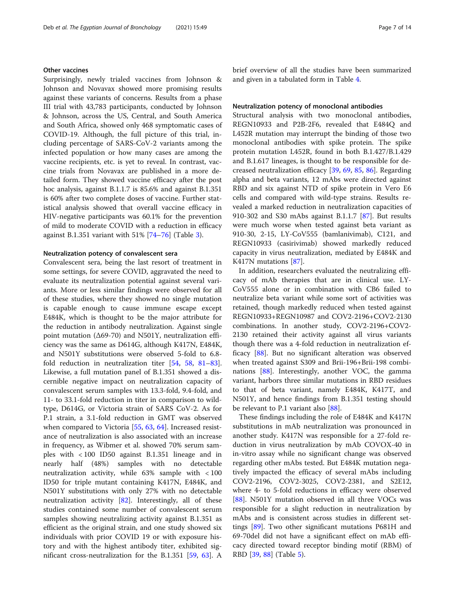#### Other vaccines

Surprisingly, newly trialed vaccines from Johnson & Johnson and Novavax showed more promising results against these variants of concerns. Results from a phase III trial with 43,783 participants, conducted by Johnson & Johnson, across the US, Central, and South America and South Africa, showed only 468 symptomatic cases of COVID-19. Although, the full picture of this trial, including percentage of SARS-CoV-2 variants among the infected population or how many cases are among the vaccine recipients, etc. is yet to reveal. In contrast, vaccine trials from Novavax are published in a more detailed form. They showed vaccine efficacy after the post hoc analysis, against B.1.1.7 is 85.6% and against B.1.351 is 60% after two complete doses of vaccine. Further statistical analysis showed that overall vaccine efficacy in HIV-negative participants was 60.1% for the prevention of mild to moderate COVID with a reduction in efficacy against B.1.351 variant with 51% [\[74](#page-12-0)–[76\]](#page-12-0) (Table [3](#page-7-0)).

#### Neutralization potency of convalescent sera

Convalescent sera, being the last resort of treatment in some settings, for severe COVID, aggravated the need to evaluate its neutralization potential against several variants. More or less similar findings were observed for all of these studies, where they showed no single mutation is capable enough to cause immune escape except E484K, which is thought to be the major attribute for the reduction in antibody neutralization. Against single point mutation (Δ69-70) and N501Y, neutralization efficiency was the same as D614G, although K417N, E484K, and N501Y substitutions were observed 5-fold to 6.8 fold reduction in neutralization titer [\[54](#page-12-0), [58,](#page-12-0) [81](#page-12-0)–[83](#page-12-0)]. Likewise, a full mutation panel of B.1.351 showed a discernible negative impact on neutralization capacity of convalescent serum samples with 13.3-fold, 9.4-fold, and 11- to 33.1-fold reduction in titer in comparison to wildtype, D614G, or Victoria strain of SARS CoV-2. As for P.1 strain, a 3.1-fold reduction in GMT was observed when compared to Victoria [\[55](#page-12-0), [63](#page-12-0), [64](#page-12-0)]. Increased resistance of neutralization is also associated with an increase in frequency, as Wibmer et al. showed 70% serum samples with < 100 ID50 against B.1.351 lineage and in nearly half (48%) samples with no detectable neutralization activity, while 63% sample with < 100 ID50 for triple mutant containing K417N, E484K, and N501Y substitutions with only 27% with no detectable neutralization activity [\[82](#page-12-0)]. Interestingly, all of these studies contained some number of convalescent serum samples showing neutralizing activity against B.1.351 as efficient as the original strain, and one study showed six individuals with prior COVID 19 or with exposure history and with the highest antibody titer, exhibited significant cross-neutralization for the B.1.351 [[59](#page-12-0), [63\]](#page-12-0). A brief overview of all the studies have been summarized and given in a tabulated form in Table [4.](#page-8-0)

#### Neutralization potency of monoclonal antibodies

Structural analysis with two monoclonal antibodies, REGN10933 and P2B-2F6, revealed that E484Q and L452R mutation may interrupt the binding of those two monoclonal antibodies with spike protein. The spike protein mutation L452R, found in both B.1.427/B.1.429 and B.1.617 lineages, is thought to be responsible for decreased neutralization efficacy [\[39,](#page-11-0) [69,](#page-12-0) [85](#page-13-0), [86](#page-13-0)]. Regarding alpha and beta variants, 12 mAbs were directed against RBD and six against NTD of spike protein in Vero E6 cells and compared with wild-type strains. Results revealed a marked reduction in neutralization capacities of 910-302 and S30 mAbs against B.1.1.7 [\[87](#page-13-0)]. But results were much worse when tested against beta variant as 910-30, 2-15, LY-CoV555 (bamlanivimab), C121, and REGN10933 (casirivimab) showed markedly reduced capacity in virus neutralization, mediated by E484K and K417N mutations [[87](#page-13-0)].

In addition, researchers evaluated the neutralizing efficacy of mAb therapies that are in clinical use. LY-CoV555 alone or in combination with CB6 failed to neutralize beta variant while some sort of activities was retained, though markedly reduced when tested against REGN10933+REGN10987 and COV2-2196+COV2-2130 combinations. In another study, COV2-2196+COV2- 2130 retained their activity against all virus variants though there was a 4-fold reduction in neutralization efficacy [[88\]](#page-13-0). But no significant alteration was observed when treated against S309 and Brii-196+Brii-198 combinations [[88](#page-13-0)]. Interestingly, another VOC, the gamma variant, harbors three similar mutations in RBD residues to that of beta variant, namely E484K, K417T, and N501Y, and hence findings from B.1.351 testing should be relevant to P.1 variant also [\[88](#page-13-0)].

These findings including the role of E484K and K417N substitutions in mAb neutralization was pronounced in another study. K417N was responsible for a 27-fold reduction in virus neutralization by mAb COVOX-40 in in-vitro assay while no significant change was observed regarding other mAbs tested. But E484K mutation negatively impacted the efficacy of several mAbs including COV2-2196, COV2-3025, COV2-2381, and S2E12, where 4- to 5-fold reductions in efficacy were observed [[88\]](#page-13-0). N501Y mutation observed in all three VOCs was responsible for a slight reduction in neutralization by mAbs and is consistent across studies in different settings [[89\]](#page-13-0). Two other significant mutations P681H and 69-70del did not have a significant effect on mAb efficacy directed toward receptor binding motif (RBM) of RBD [[39,](#page-11-0) [88\]](#page-13-0) (Table [5\)](#page-9-0).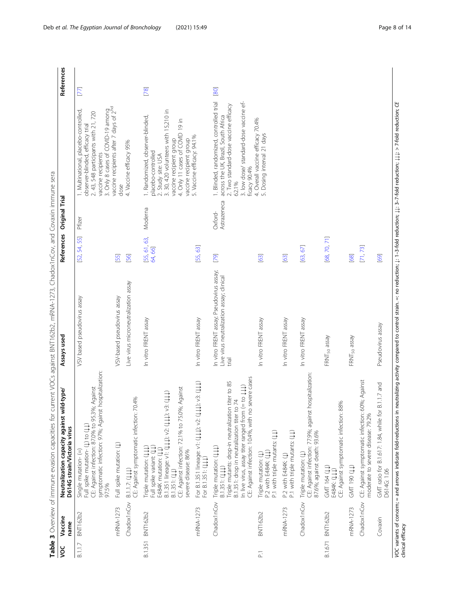| š                 | Vaccine<br>name   | Table 3 Overview of immune evasion capacities for current VOCs against BNT162b2, mRNA-1273, Chadox1nCov, and Covaxin immune sera<br>d-type/<br>Neutralization capacity against wild<br>D614G strain/Victoria virus                                              | Assays used                                                                                    | References             | <b>Original Trial</b>  |                                                                                                                                                                                                                                    | References |
|-------------------|-------------------|-----------------------------------------------------------------------------------------------------------------------------------------------------------------------------------------------------------------------------------------------------------------|------------------------------------------------------------------------------------------------|------------------------|------------------------|------------------------------------------------------------------------------------------------------------------------------------------------------------------------------------------------------------------------------------|------------|
| B.1.1.7           | <b>BNT162b2</b>   | symptomatic infection: 97%; Against hospitalization:<br>Against<br>CE: Against infection: 87.0% to 95.3%;<br>Full spike mutation- (L) to (LL)<br>Single mutation-(=)<br>97.5%                                                                                   | VSV based pseudovirus assay                                                                    | [52, 54, 55]           | Pfizer                 | 3. Only 8 cases of COVID-19 among<br>vaccine recipients after 7 days of 2 <sup>nd</sup><br>1. Multinational, placebo-controlled,<br>2. 43, 548 participants with 21, 720<br>observer-blinded, efficacy trial<br>vaccine recipients | <b>ZZ</b>  |
|                   | mRNA-1273         | Full spike mutation: (1)                                                                                                                                                                                                                                        | VSV-based pseudovirus assay                                                                    | [55]                   |                        | dose                                                                                                                                                                                                                               |            |
|                   | Chadox1nCov       | CE: Against symptomatic infection: 70.4%<br>B.1.1.7: (UU)                                                                                                                                                                                                       | Live virus microneutralization assay                                                           | [56]                   |                        | 4. Vaccine efficacy 95%                                                                                                                                                                                                            |            |
|                   | B.1.351 BNT162b2  | Against<br>(111)<br>B.1.351 lineage: v1: (111); v2: (111); v3:<br>CE: Against infection: 72.1% to 75.0%;<br>Full spike variant: (11)<br>Triple mutation: (111)<br>E484K mutation: (11<br>severe disease: 86%<br>B.1.351: (11)                                   | In vitro FRENT assay                                                                           | [55, 61, 63,<br>64,66] | Moderna                | 3. 30, 420 volunteers with 15,210 in<br>1. Randomized, observer-blinded,<br>4. Only 11 cases of COVID 19 in<br>vaccine recipient group<br>vaccine recipient group<br>placebo-controlled<br>2. Study site: USA                      | [78]       |
|                   | mRNA-1273         | $v3:({\downarrow\downarrow\downarrow})$<br>For B.1.351 lineage: v1: (111); v2: (111);<br>For B.1.351: (111)                                                                                                                                                     | In vitro FRENT assay                                                                           | [55, 63]               |                        | 5. Vaccine efficacy: 94.1%                                                                                                                                                                                                         |            |
|                   | Chadox1nCov       | CE: Against infection: 10.4%, with no severe cases<br>Triple mutants: drop-in neutralization titer to 85<br>(†11 oi ÷<br>74<br>In live virus, assay titer ranged from (=<br>B.1.351: drop in neutralization titer to<br>Triple mutation: (111)<br>B.1.351: (UU) | In vitro FRENT assay; Pseudovirus assay;<br>Live virus neutralization assay; clinical<br>trial | [79]                   | Astrazeneca<br>Oxford- | 1. Blinded, randomized, controlled trial<br>3. low dose/ standard-dose vaccine ef-<br>2. Two standard-dose vaccine efficacy<br>across the UK, Brazil, South Africa<br>ficacy 90.4%<br>62.1%                                        | [80]       |
| $\overline{\sim}$ | <b>BNT162b2</b>   | P.1 with triple mutants: (11)<br>P.2 with E484K: (11)<br>Triple mutation: (L)                                                                                                                                                                                   | In vitro FRENT assay                                                                           | 63]                    |                        | 4. Overall vaccine efficacy 70.4%<br>5. Dosing interval 21 days                                                                                                                                                                    |            |
|                   | mRNA-1273         | P.1 with triple mutants: (11)<br>P.2 with E484K: (1)                                                                                                                                                                                                            | In vitro FRENT assay                                                                           | [63]                   |                        |                                                                                                                                                                                                                                    |            |
|                   | Chadox1nCov       | CE: Against infection: 77.9%; against hospitalization:<br>87.6%; against death: 93.6%<br>Triple mutation: (L)                                                                                                                                                   | In vitro FRENT assay                                                                           | [63, 67]               |                        |                                                                                                                                                                                                                                    |            |
|                   | B.1.671 BNT162b2  | CE: Against symptomatic infection: 88%<br>GMT 164 (11)<br>E484K: (111)                                                                                                                                                                                          | FRNT <sub>50</sub> assay                                                                       | [68,70,71]             |                        |                                                                                                                                                                                                                                    |            |
|                   | mRNA-1273         | <b>GMT 190 (LL)</b>                                                                                                                                                                                                                                             | FRNT <sub>50</sub> assay                                                                       | [68]                   |                        |                                                                                                                                                                                                                                    |            |
|                   | Chadox1nCov       | CE: Against symptomatic infection: 60%; Against<br>moderate to severe disease: 79.2%                                                                                                                                                                            |                                                                                                | [71, 73]               |                        |                                                                                                                                                                                                                                    |            |
|                   | Covaxin           | $1.17$ and<br>GMT ratio for B.1.617: 1.84, while for B.<br>D614G: 1.06                                                                                                                                                                                          | Pseudovirus assay                                                                              | [69]                   |                        |                                                                                                                                                                                                                                    |            |
|                   | clinical efficacy | VOC variants of concern; = and arrows indicate fold-reductions in neutralizing activity compared to control strain. =: no reduction; $\downarrow$ : 1-3-fold reduction; $\downarrow$ 1; 3-7-fold reduction; $\downarrow$ 1; >7-fold reduction; CE               |                                                                                                |                        |                        |                                                                                                                                                                                                                                    |            |

<span id="page-7-0"></span>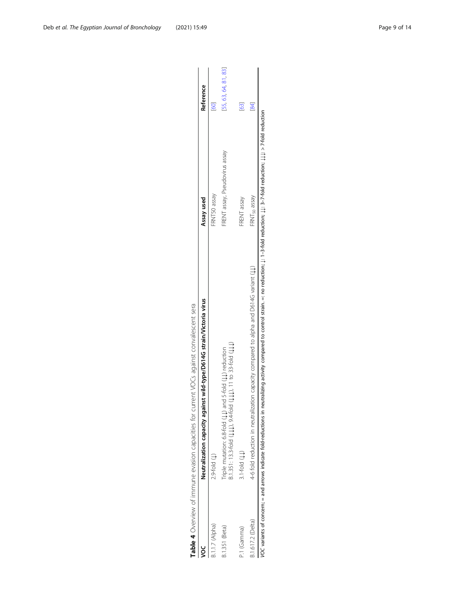<span id="page-8-0"></span>

|                   | Neutralization capacity against wild-type/D614G strain/Victoria virus                                                                                                                                                 | Assay used                     | Reference            |
|-------------------|-----------------------------------------------------------------------------------------------------------------------------------------------------------------------------------------------------------------------|--------------------------------|----------------------|
| 3.1.1.7 (Alpha)   | $2.9$ -fold $($ $\downarrow$                                                                                                                                                                                          | FRNT50 assay                   |                      |
| 3.1.351 (Beta)    | $3.1.351: 13.3-60d$ (111), $9.4-60d$ (111), 11 to 33-fold (111)<br>riple mutation: 6.8-fold (11) and 5-fold (11) reduction                                                                                            | FRENT assay, Pseudovirus assay | [55, 63, 64, 81, 83] |
| P.1 (Gamma)       | $3.1 - 6$ Id (11)                                                                                                                                                                                                     | FRENT assay                    | 63]                  |
| 8.1.617.2 (Delta) | 4-6 fold reduction in neutralization capacity compared to alpha and D614G variant $\{\downarrow\}$                                                                                                                    | FRNT <sub>50</sub> assay       | $\overline{8}$       |
|                   | $O$ C variants of concern; = and arrows indicate fold-reductions in neutralizing activity compared to control strain. =: no reduction; $y_1$ a-3-fold reduction; $y_1$ 3-7-fold reduction; $y_1$ , 2-7-fold reduction |                                |                      |

Table 4 Overview of immune evasion capacities for current VOCs against convalescent sera Table 4 Overview of immune evasion capacities for current VOCs against convalescent sera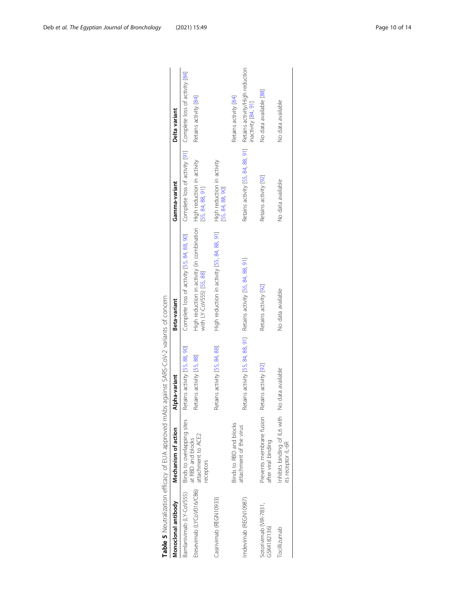<span id="page-9-0"></span>

| Monoclonal antibody                                 | Mechanism of action                                 | pha-variant                                                         | Beta-variant                                                                                             | Gamma-variant                                  | Delta variant                                                                            |
|-----------------------------------------------------|-----------------------------------------------------|---------------------------------------------------------------------|----------------------------------------------------------------------------------------------------------|------------------------------------------------|------------------------------------------------------------------------------------------|
| Bamlanivimab (LY-CoV555) Binds to overlapping sites |                                                     | Retains activity [55, 88, 90]                                       | Complete loss of activity [55, 84, 88, 90] Complete loss of activity [91] Complete loss of activity [84] |                                                |                                                                                          |
| Etesevimab (LYCoV016/CB6)                           | attachment to ACE2<br>at RBD and blocks<br>eceptors | Retains activity [55, 88]                                           |                                                                                                          |                                                | Retains activity [84]                                                                    |
| Casirivimab (REGN10933)                             |                                                     | Retains activity [55, 84, 88]                                       | High reduction in activity [55, 84, 88, 91]                                                              | High reduction in activity<br>[55, 84, 88, 90] |                                                                                          |
|                                                     | Binds to RBD and blocks                             |                                                                     |                                                                                                          |                                                | Retains activity [84]                                                                    |
| Imdevimab (REGN10987)                               | attachment of the virus                             | Retains activity [55, 84, 88, 91] Retains activity [55, 84, 88, 91] |                                                                                                          |                                                | Retains activity [55, 84, 88, 91] Retains activity/High reduction<br>inactivity [84, 91] |
| Sotorivimab (VIR-7831,<br>GSK4182136)               | Prevents membrane fusion<br>after viral binding     | Retains activity [92]                                               | Retains activity [92]                                                                                    | Retains activity [92]                          | No data available [88]                                                                   |
| Tocillizumab                                        | Inhibits binding of IL6 with<br>its receptor IL-6R  | No data available                                                   | No data available                                                                                        | No data available                              | No data available                                                                        |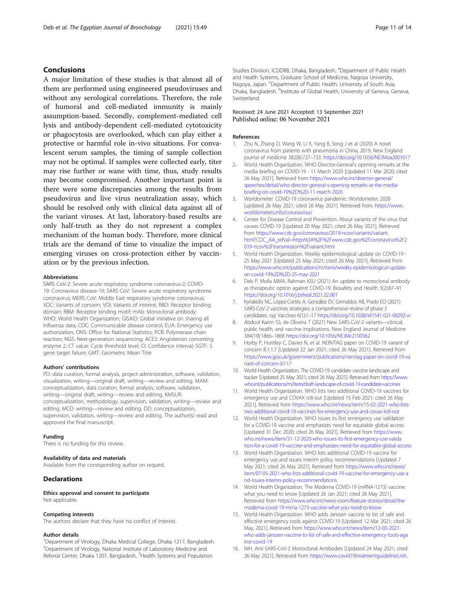#### <span id="page-10-0"></span>Conclusions

A major limitation of these studies is that almost all of them are performed using engineered pseudoviruses and without any serological correlations. Therefore, the role of humoral and cell-mediated immunity is mainly assumption-based. Secondly, complement-mediated cell lysis and antibody-dependent cell-mediated cytotoxicity or phagocytosis are overlooked, which can play either a protective or harmful role in-vivo situations. For convalescent serum samples, the timing of sample collection may not be optimal. If samples were collected early, titer may rise further or wane with time, thus, study results may become compromised. Another important point is there were some discrepancies among the results from pseudovirus and live virus neutralization assay, which should be resolved only with clinical data against all of the variant viruses. At last, laboratory-based results are only half-truth as they do not represent a complex mechanism of the human body. Therefore, more clinical trials are the demand of time to visualize the impact of emerging viruses on cross-protection either by vaccination or by the previous infection.

#### Abbreviations

SARS CoV-2: Severe acute respiratory syndrome coronavirus-2; COVID-19: Coronavirus disease-19; SARS CoV: Severe acute respiratory syndrome coronavirus; MERS CoV: Middle East respiratory syndrome coronavirus; VOC: Variants of concern; VOI: Variants of interest; RBD: Receptor binding domain; RBM: Receptor binding motif; mAb: Monoclonal antibody; WHO: World Health Organization; GISAID: Global initiative on sharing all Influenza data; CDC: Communicable disease control; EUA: Emergency use authorization; ONS: Office for National Statistics; PCR: Polymerase chain reaction; NGS: Next-generation sequencing; ACE2: Angiotensin converting enzyme 2; CT value: Cycle threshold level; CI: Confidence interval; SGTF: S gene target failure; GMT: Geometric Mean Titre

#### Authors' contributions

PD: data curation, formal analysis, project administration, software, validation, visualization, writing—original draft, writing—review and editing. MAM: conceptualization, data curation, formal analysis, software, validation, writing—original draft, writing—review and editing. KMSUR: conceptualization, methodology, supervision, validation, writing—review and editing. MCD: writing—review and editing. DD: conceptualization, supervision, validation, writing—review and editing. The author(s) read and approved the final manuscript.

#### Funding

There is no funding for this review.

#### Availability of data and materials

Available from the corresponding author on request.

#### **Declarations**

Ethics approval and consent to participate Not applicable.

#### Competing interests

The authors declare that they have no conflict of interest.

#### Author details

<sup>1</sup>Department of Virology, Dhaka Medical College, Dhaka 1217, Bangladesh. <sup>2</sup> Department of Virology, National Institute of Laboratory Medicine and Referral Center, Dhaka 1207, Bangladesh. <sup>3</sup>Health Systems and Population

Studies Division, ICDDRB, Dhaka, Bangladesh. <sup>4</sup>Department of Public Health and Health Systems, Graduate School of Medicine, Nagoya University, Nagoya, Japan. <sup>5</sup>Department of Public Health, University of South Asia Dhaka, Bangladesh. <sup>6</sup>Institute of Global Health, University of Geneva, Geneva, Switzerland.

#### Received: 24 June 2021 Accepted: 13 September 2021 Published online: 06 November 2021

#### References

- Zhu N, Zhang D, Wang W, Li X, Yang B, Song J et al (2020) A novel coronavirus from patients with pneumonia in China, 2019. New England journal of medicine 382(8):727–733. <https://doi.org/10.1056/NEJMoa2001017>
- 2. World Health Organization. WHO Director-General's opening remarks at the media briefing on COVID-19 - 11 March 2020 [Updated 11 Mar 2020; cited 26 May 2021]. Retrieved from [https://www.who.int/director-general/](https://www.who.int/director-general/speeches/detail/who-director-general-s-opening-remarks-at-the-media-briefing-on-covid-19%2D%2D-11-march-2020) [speeches/detail/who-director-general-s-opening-remarks-at-the-media](https://www.who.int/director-general/speeches/detail/who-director-general-s-opening-remarks-at-the-media-briefing-on-covid-19%2D%2D-11-march-2020)[briefing-on-covid-19%2D%2D-11-march-2020](https://www.who.int/director-general/speeches/detail/who-director-general-s-opening-remarks-at-the-media-briefing-on-covid-19%2D%2D-11-march-2020)
- 3. Worldometer. COVID-19 coronavirus pandemic: Worldometer; 2020 [updated 26 May 2021; cited 26 May 2021]. Retrieved from: [https://www.](https://www.worldometers.info/coronavirus/) [worldometers.info/coronavirus/](https://www.worldometers.info/coronavirus/)
- 4. Center for Disease Control and Prevention. About variants of the virus that causes COVID-19 [Updated 20 May 2021; cited 26 May 2021]. Retrieved from [https://www.cdc.gov/coronavirus/2019-ncov/variants/variant.](https://www.cdc.gov/coronavirus/2019-ncov/variants/variant.html?CDC_AA_refVal=https%3A%2F%2Fwww.cdc.gov%2Fcoronavirus%2F2019-ncov%2Ftransmission%2Fvariant.html) [html?CDC\\_AA\\_refVal=https%3A%2F%2Fwww.cdc.gov%2Fcoronavirus%2F2](https://www.cdc.gov/coronavirus/2019-ncov/variants/variant.html?CDC_AA_refVal=https%3A%2F%2Fwww.cdc.gov%2Fcoronavirus%2F2019-ncov%2Ftransmission%2Fvariant.html) [019-ncov%2Ftransmission%2Fvariant.html](https://www.cdc.gov/coronavirus/2019-ncov/variants/variant.html?CDC_AA_refVal=https%3A%2F%2Fwww.cdc.gov%2Fcoronavirus%2F2019-ncov%2Ftransmission%2Fvariant.html)
- 5. World Health Organization. Weekly epidemiological update on COVID-19 25 May 2021 [Updated 25 May 2021; cited 26 May 2021]. Retrieved from [https://www.who.int/publications/m/item/weekly-epidemiological-update](https://www.who.int/publications/m/item/weekly-epidemiological-update-on-covid-19%2D%2D-25-may-2021)[on-covid-19%2D%2D-25-may-2021](https://www.who.int/publications/m/item/weekly-epidemiological-update-on-covid-19%2D%2D-25-may-2021)
- 6. Deb P, Molla MMA, Rahman KSU (2021) An update to monoclonal antibody as therapeutic option against COVID-19. Biosafety and Health 3(2):87–91 <https://doi.org/10.1016/j.bsheal.2021.02.001>
- 7. Kyriakidis NC, López-Cortés A, González EV, Grimaldos AB, Prado EO (2021) SARS-CoV-2 vaccines strategies: a comprehensive review of phase 3 candidates. npj. Vaccines 6(1):1–17 <https://doi.org/10.1038/s41541-021-00292-w>
- 8. Abdool Karim SS, de Oliveira T (2021) New SARS-CoV-2 variants-clinical. public health, and vaccine implications. New England Journal of Medicine 384(19):1866–1868 <https://doi.org/10.1056/NEJMc2100362>
- 9. Horby P, Huntley C, Davies N, et al. NERVTAG paper on COVID-19 variant of concern B.1.1.7 [Updated 22 Jan 2021; cited 26 May 2021]. Retrieved from [https://www.gov.uk/government/publications/nervtag-paper-on-covid-19-va](https://www.gov.uk/government/publications/nervtag-paper-on-covid-19-variant-of-concern-b117) [riant-of-concern-b117](https://www.gov.uk/government/publications/nervtag-paper-on-covid-19-variant-of-concern-b117)
- 10. World Health Organization. The COVID-19 candidate vaccine landscape and tracker [Updated 25 May 2021; cited 26 May 2021]. Retrieved from [https://www.](https://www.who.int/publications/m/item/draft-landscape-of-covid-19-candidate-vaccines) [who.int/publications/m/item/draft-landscape-of-covid-19-candidate-vaccines](https://www.who.int/publications/m/item/draft-landscape-of-covid-19-candidate-vaccines)
- 11. World Health Organization. WHO lists two additional COVID-19 vaccines for emergency use and COVAX roll-out [Updated 15 Feb 2021; cited 26 May 2021]. Retrieved from [https://www.who.int/news/item/15-02-2021-who-lists](https://www.who.int/news/item/15-02-2021-who-lists-two-additional-covid-19-vaccines-for-emergency-use-and-covax-roll-out)[two-additional-covid-19-vaccines-for-emergency-use-and-covax-roll-out](https://www.who.int/news/item/15-02-2021-who-lists-two-additional-covid-19-vaccines-for-emergency-use-and-covax-roll-out)
- 12. World Health Organization. WHO issues its first emergency use validation for a COVID-19 vaccine and emphasizes need for equitable global access [Updated 31 Dec 2020; cited 26 May 2021]. Retrieved from [https://www.](https://www.who.int/news/item/31-12-2020-who-issues-its-first-emergency-use-validation-for-a-covid-19-vaccine-and-emphasizes-need-for-equitable-global-access) [who.int/news/item/31-12-2020-who-issues-its-first-emergency-use-valida](https://www.who.int/news/item/31-12-2020-who-issues-its-first-emergency-use-validation-for-a-covid-19-vaccine-and-emphasizes-need-for-equitable-global-access) [tion-for-a-covid-19-vaccine-and-emphasizes-need-for-equitable-global-access](https://www.who.int/news/item/31-12-2020-who-issues-its-first-emergency-use-validation-for-a-covid-19-vaccine-and-emphasizes-need-for-equitable-global-access)
- 13. World Health Organization. WHO lists additional COVID-19 vaccine for emergency use and issues interim policy recommendations [Updated 7 May 2021; cited 26 May 2021]. Retrieved from [https://www.who.int/news/](https://www.who.int/news/item/07-05-2021-who-lists-additional-covid-19-vaccine-for-emergency-use-and-issues-interim-policy-recommendations) [item/07-05-2021-who-lists-additional-covid-19-vaccine-for-emergency-use-a](https://www.who.int/news/item/07-05-2021-who-lists-additional-covid-19-vaccine-for-emergency-use-and-issues-interim-policy-recommendations) [nd-issues-interim-policy-recommendations](https://www.who.int/news/item/07-05-2021-who-lists-additional-covid-19-vaccine-for-emergency-use-and-issues-interim-policy-recommendations)
- 14. World Health Organization. The Moderna COVID-19 (mRNA-1273) vaccine: what you need to know [Updated 26 Jan 2021; cited 26 May 2021]. Retrieved from [https://www.who.int/news-room/feature-stories/detail/the](https://www.who.int/news-room/feature-stories/detail/the-moderna-covid-19-mrna-1273-vaccine-what-you-need-to-know)[moderna-covid-19-mrna-1273-vaccine-what-you-need-to-know](https://www.who.int/news-room/feature-stories/detail/the-moderna-covid-19-mrna-1273-vaccine-what-you-need-to-know)
- 15. World Health Organization. WHO adds Janssen vaccine to list of safe and effective emergency tools against COVID-19 [Updated 12 Mar 2021; cited 26 May, 2021]. Retrieved from [https://www.who.int/news/item/12-03-2021](https://www.who.int/news/item/12-03-2021-who-adds-janssen-vaccine-to-list-of-safe-and-effective-emergency-tools-against-covid-19) [who-adds-janssen-vaccine-to-list-of-safe-and-effective-emergency-tools-aga](https://www.who.int/news/item/12-03-2021-who-adds-janssen-vaccine-to-list-of-safe-and-effective-emergency-tools-against-covid-19) [inst-covid-19](https://www.who.int/news/item/12-03-2021-who-adds-janssen-vaccine-to-list-of-safe-and-effective-emergency-tools-against-covid-19)
- 16. NIH. Anti-SARS-CoV-2 Monoclonal Antibodies [Updated 24 May 2021; cited 26 May 2021]. Retrieved from [https://www.covid19treatmentguidelines.nih.](https://www.covid19treatmentguidelines.nih.gov/anti-sars-cov-2-antibody-products/anti-sars-cov-2-monoclonal-antibodies/)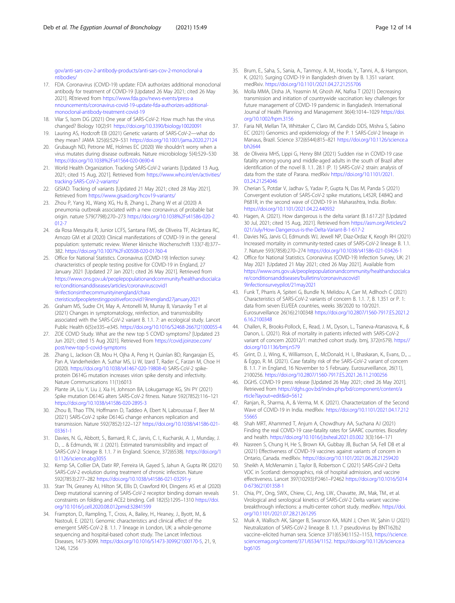<span id="page-11-0"></span>[gov/anti-sars-cov-2-antibody-products/anti-sars-cov-2-monoclonal-a](https://www.covid19treatmentguidelines.nih.gov/anti-sars-cov-2-antibody-products/anti-sars-cov-2-monoclonal-antibodies/) [ntibodies/](https://www.covid19treatmentguidelines.nih.gov/anti-sars-cov-2-antibody-products/anti-sars-cov-2-monoclonal-antibodies/)

- 17. FDA. Coronavirus (COVID-19) update: FDA authorizes additional monoclonal antibody for treatment of COVID-19 [Updated 26 May 2021; cited 26 May 2021]. REtrieved from [https://www.fda.gov/news-events/press-a](https://www.fda.gov/news-events/press-announcements/coronavirus-covid-19-update-fda-authorizes-additional-monoclonal-antibody-treatment-covid-19) [nnouncements/coronavirus-covid-19-update-fda-authorizes-additional](https://www.fda.gov/news-events/press-announcements/coronavirus-covid-19-update-fda-authorizes-additional-monoclonal-antibody-treatment-covid-19)[monoclonal-antibody-treatment-covid-19](https://www.fda.gov/news-events/press-announcements/coronavirus-covid-19-update-fda-authorizes-additional-monoclonal-antibody-treatment-covid-19)
- 18. Vilar S, Isom DG (2021) One year of SARS-CoV-2: How much has the virus changed? Biology 10(2):91 <https://doi.org/10.3390/biology10020091>
- 19. Lauring AS, Hodcroft EB (2021) Genetic variants of SARS-CoV-2—what do they mean? JAMA 325(6):529–531 <https://doi.org/10.1001/jama.2020.27124>
- 20. Grubaugh ND, Petrone ME, Holmes EC (2020) We shouldn't worry when a virus mutates during disease outbreaks. Nature microbiology 5(4):529–530 [https://doi.org/10.1038%2Fs41564-020-0690-4](https://doi.org/10.1038/s41564-020-0690-4)
- 21. World Health Organization. Tracking SARS-CoV-2 variants [Updated 13 Aug, 2021; cited 15 Aug, 2021]. Retrieved from [https://www.who.int/en/activities/](https://www.who.int/en/activities/tracking-SARS-CoV-2-variants/) [tracking-SARS-CoV-2-variants/](https://www.who.int/en/activities/tracking-SARS-CoV-2-variants/)
- 22. GISIAD. Tracking of variants [Updated 21 May 2021; cited 28 May 2021]. Retrieved from <https://www.gisaid.org/hcov19-variants/>
- 23. Zhou P, Yang XL, Wang XG, Hu B, Zhang L, Zhang W et al (2020) A pneumonia outbreak associated with a new coronavirus of probable bat origin. nature 579(7798):270–273 [https://doi.org/10.1038%2Fs41586-020-2](https://doi.org/10.1038/s41586-020-2012-7)  $012 - 7$
- 24. da Rosa Mesquita R, Junior LCFS, Santana FMS, de Oliveira TF, Alcântara RC, Arnozo GM et al (2020) Clinical manifestations of COVID-19 in the general population: systematic review. Wiener klinische Wochenschrift 133(7-8):377– 382. [https://doi.org/10.1007%2Fs00508-020-01760-4](https://doi.org/10.1007/s00508-020-01760-4)
- 25. Office for National Statistics. Coronavirus (COVID-19) Infection survey: characteristics of people testing positive for COVID-19 in England, 27 January 2021 [Updated 27 Jan 2021; cited 26 May 2021]. Retrieved from [https://www.ons.gov.uk/peoplepopulationandcommunity/healthandsocialca](https://www.ons.gov.uk/peoplepopulationandcommunity/healthandsocialcare/conditionsanddiseases/articles/coronaviruscovid19infectionsinthecommunityinengland/characteristicsofpeopletestingpositiveforcovid19inengland27january2021) [re/conditionsanddiseases/articles/coronaviruscovid1](https://www.ons.gov.uk/peoplepopulationandcommunity/healthandsocialcare/conditionsanddiseases/articles/coronaviruscovid19infectionsinthecommunityinengland/characteristicsofpeopletestingpositiveforcovid19inengland27january2021) [9infectionsinthecommunityinengland/chara](https://www.ons.gov.uk/peoplepopulationandcommunity/healthandsocialcare/conditionsanddiseases/articles/coronaviruscovid19infectionsinthecommunityinengland/characteristicsofpeopletestingpositiveforcovid19inengland27january2021) [cteristicsofpeopletestingpositiveforcovid19inengland27january2021](https://www.ons.gov.uk/peoplepopulationandcommunity/healthandsocialcare/conditionsanddiseases/articles/coronaviruscovid19infectionsinthecommunityinengland/characteristicsofpeopletestingpositiveforcovid19inengland27january2021)
- 26. Graham MS, Sudre CH, May A, Antonelli M, Murray B, Varsavsky T et al (2021) Changes in symptomatology, reinfection, and transmissibility associated with the SARS-CoV-2 variant B. 1.1. 7: an ecological study. Lancet Public Health 6(5):e335–e345. [https://doi.org/10.1016/S2468-2667\(21\)00055-4](https://doi.org/10.1016/S2468-2667(21)00055-4)
- 27. ZOE COVID Study. What are the new top 5 COVID symptoms? [Updated 23 Jun 2021; cited 15 Aug 2021]. Retrieved from [https://covid.joinzoe.com/](https://covid.joinzoe.com/post/new-top-5-covid-symptoms) [post/new-top-5-covid-symptoms](https://covid.joinzoe.com/post/new-top-5-covid-symptoms)
- 28. Zhang L, Jackson CB, Mou H, Ojha A, Peng H, Quinlan BD, Rangarajan ES, Pan A, Vanderheiden A, Suthar MS, Li W, Izard T, Rader C, Farzan M, Choe H (2020). <https://doi.org/10.1038/s41467-020-19808-4>) SARS-CoV-2 spikeprotein D614G mutation increases virion spike density and infectivity. Nature Communications 11(1):6013
- 29. Plante JA, Liu Y, Liu J, Xia H, Johnson BA, Lokugamage KG, Shi PY (2021) Spike mutation D614G alters SARS-CoV-2 fitness. Nature 592(7852):116–121 <https://doi.org/10.1038/s41586-020-2895-3>
- 30. Zhou B, Thao TTN, Hoffmann D, Taddeo A, Ebert N, Labroussaa F, Beer M (2021) SARS-CoV-2 spike D614G change enhances replication and transmission. Nature 592(7852):122–127 [https://doi.org/10.1038/s41586-021-](https://doi.org/10.1038/s41586-021-03361-1) [03361-1](https://doi.org/10.1038/s41586-021-03361-1)
- 31. Davies, N. G., Abbott, S., Barnard, R. C., Jarvis, C. I., Kucharski, A. J., Munday, J. D., ... & Edmunds, W. J. (2021). Estimated transmissibility and impact of SARS-CoV-2 lineage B. 1.1. 7 in England. Science, 372(6538). [https://doi.org/1](https://doi.org/10.1126/science.abg3055) [0.1126/science.abg3055](https://doi.org/10.1126/science.abg3055)
- 32. Kemp SA, Collier DA, Datir RP, Ferreira IA, Gayed S, Jahun A, Gupta RK (2021) SARS-CoV-2 evolution during treatment of chronic infection. Nature 592(7853):277–282 <https://doi.org/10.1038/s41586-021-03291-y>
- 33. Starr TN, Greaney AJ, Hilton SK, Ellis D, Crawford KH, Dingens AS et al (2020) Deep mutational scanning of SARS-CoV-2 receptor binding domain reveals constraints on folding and ACE2 binding. Cell 182(5):1295–1310 [https://doi.](https://doi.org/10.1016/j.cell.2020.08.012pmid:32841599) [org/10.1016/j.cell.2020.08.012pmid:32841599](https://doi.org/10.1016/j.cell.2020.08.012pmid:32841599)
- 34. Frampton, D., Rampling, T., Cross, A., Bailey, H., Heaney, J., Byott, M., & Nastouli, E. (2021). Genomic characteristics and clinical effect of the emergent SARS-CoV-2 B. 1.1. 7 lineage in London, UK: a whole-genome sequencing and hospital-based cohort study. The Lancet Infectious Diseases, 1473-3099. [https://doi.org/10.1016/S1473-3099\(21\)00170-5,](https://doi.org/10.1016/S1473-3099(21)00170-5) 21, 9, 1246, 1256
- 35. Brum, E., Saha, S., Sania, A., Tanmoy, A. M., Hooda, Y., Tanni, A., & Hampson, K. (2021). Surging COVID-19 in Bangladesh driven by B. 1.351 variant. medRxiv. <https://doi.org/10.1101/2021.04.27.21255706>
- 36. Molla MMA, Disha JA, Yeasmin M, Ghosh AK, Nafisa T (2021) Decreasing transmission and initiation of countrywide vaccination: key challenges for future management of COVID-19 pandemic in Bangladesh. International Journal of Health Planning and Management 36(4):1014–1029 [https://doi.](https://doi.org/10.1002/hpm.3156) [org/10.1002/hpm.3156](https://doi.org/10.1002/hpm.3156)
- 37. Faria NR, Mellan TA, Whittaker C, Claro IM, Candido DDS, Mishra S, Sabino EC (2021) Genomics and epidemiology of the P. 1 SARS-CoV-2 lineage in Manaus, Brazil. Science 372(6544):815–821 [https://doi.org/10.1126/science.a](https://doi.org/10.1126/science.abh2644) [bh2644](https://doi.org/10.1126/science.abh2644)
- 38. de Oliveira MHS, Lippi G, Henry BM (2021) Sudden rise in COVID-19 case fatality among young and middle-aged adults in the south of Brazil after identification of the novel B. 1.1. 28.1 (P. 1) SARS-CoV-2 strain: analysis of data from the state of Parana. medRxiv [https://doi.org/10.1101/2021.](https://doi.org/10.1101/2021.03.24.21254046) [03.24.21254046](https://doi.org/10.1101/2021.03.24.21254046)
- 39. Cherian S, Potdar V, Jadhav S, Yadav P, Gupta N, Das M, Panda S (2021) Convergent evolution of SARS-CoV-2 spike mutations, L452R, E484Q and P681R, in the second wave of COVID-19 in Maharashtra, India. BioRxiv. <https://doi.org/10.1101/2021.04.22.440932>
- 40. Hagen, A. (2021). How dangerous is the delta variant (B.1.617.2)? [Updated 30 Jul, 2021; cited 15 Aug, 2021]. Retrieved from [https://asm.org/Articles/2](https://asm.org/Articles/2021/July/How-Dangerous-is-the-Delta-Variant-B-1-617-2) [021/July/How-Dangerous-is-the-Delta-Variant-B-1-617-2](https://asm.org/Articles/2021/July/How-Dangerous-is-the-Delta-Variant-B-1-617-2)
- 41. Davies NG, Jarvis CI, Edmunds WJ, Jewell NP, Diaz-Ordaz K, Keogh RH (2021) Increased mortality in community-tested cases of SARS-CoV-2 lineage B. 1.1. 7. Nature 593(7858):270–274 <https://doi.org/10.1038/s41586-021-03426-1>
- 42. Office for National Statistics. Coronavirus (COVID-19) Infection Survey, UK: 21 May 2021 [Updated 21 May 2021; cited 26 May 2021]. Available from [https://www.ons.gov.uk/peoplepopulationandcommunity/healthandsocialca](https://www.ons.gov.uk/peoplepopulationandcommunity/healthandsocialcare/conditionsanddiseases/bulletins/coronaviruscovid19infectionsurveypilot/21may2021) [re/conditionsanddiseases/bulletins/coronaviruscovid1](https://www.ons.gov.uk/peoplepopulationandcommunity/healthandsocialcare/conditionsanddiseases/bulletins/coronaviruscovid19infectionsurveypilot/21may2021) [9infectionsurveypilot/21may2021](https://www.ons.gov.uk/peoplepopulationandcommunity/healthandsocialcare/conditionsanddiseases/bulletins/coronaviruscovid19infectionsurveypilot/21may2021)
- 43. Funk T, Pharris A, Spiteri G, Bundle N, Melidou A, Carr M, Adlhoch C (2021) Characteristics of SARS-CoV-2 variants of concern B. 1.1. 7, B. 1.351 or P. 1: data from seven EU/EEA countries, weeks 38/2020 to 10/2021. Eurosurveillance 26(16):2100348 [https://doi.org/10.2807/1560-7917.ES.2021.2](https://doi.org/10.2807/1560-7917.ES.2021.26.16.2100348) [6.16.2100348](https://doi.org/10.2807/1560-7917.ES.2021.26.16.2100348)
- 44. Challen, R., Brooks-Pollock, E., Read, J. M., Dyson, L., Tsaneva-Atanasova, K., & Danon, L. (2021). Risk of mortality in patients infected with SARS-CoV-2 variant of concern 202012/1: matched cohort study. bmj, 372(n579). [https://](https://doi.org/10.1136/bmj.n579) [doi.org/10.1136/bmj.n579](https://doi.org/10.1136/bmj.n579)
- 45. Grint, D. J., Wing, K., Williamson, E., McDonald, H. I., Bhaskaran, K., Evans, D., ... & Eggo, R. M. (2021). Case fatality risk of the SARS-CoV-2 variant of concern B. 1.1. 7 in England, 16 November to 5 February. Eurosurveillance, 26(11), 2100256. <https://doi.org/10.2807/1560-7917.ES.2021.26.11.2100256>
- 46. DGHS. COVID-19 press release [Updated 26 May 2021; cited 26 May 2021]. Retrieved from [https://dghs.gov.bd/index.php/bd/component/content/a](https://dghs.gov.bd/index.php/bd/component/content/article?layout=edit&id=5612) [rticle?layout=edit&id=5612](https://dghs.gov.bd/index.php/bd/component/content/article?layout=edit&id=5612)
- 47. Ranjan, R., Sharma, A., & Verma, M. K. (2021). Characterization of the Second Wave of COVID-19 in India. medRxiv. [https://doi.org/10.1101/2021.04.17.212](https://doi.org/10.1101/2021.04.17.21255665) [55665](https://doi.org/10.1101/2021.04.17.21255665)
- 48. Shah MRT, Ahammed T, Anjum A, Chowdhury AA, Suchana AJ (2021) Finding the real COVID-19 case-fatality rates for SAARC countries. Biosafety and health. <https://doi.org/10.1016/j.bsheal.2021.03.002> 3(3):164–171
- 49. Nasreen S, Chung H, He S, Brown KA, Gubbay JB, Buchan SA, Fell DB et al (2021) Effectiveness of COVID-19 vaccines against variants of concern in Ontario, Canada. medRxiv. <https://doi.org/10.1101/2021.06.28.21259420>
- 50. Sheikh A, McMenamin J, Taylor B, Robertson C (2021) SARS-CoV-2 Delta VOC in Scotland: demographics, risk of hospital admission, and vaccine effectiveness. Lancet 397(10293):P2461–P2462 [https://doi.org/10.1016/S014](https://doi.org/10.1016/S0140-6736(21)01358-1) [0-6736\(21\)01358-1](https://doi.org/10.1016/S0140-6736(21)01358-1)
- 51. Chia, PY., Ong, SWX., Chiew, CJ., Ang, LW., Chavatte, JM., Mak, TM., et al. Virological and serological kinetics of SARS-CoV-2 Delta variant vaccinebreakthrough infections: a multi-center cohort study. medRxiv. [https://doi.](https://doi.org/10.1101/2021.07.28.21261295) [org/10.1101/2021.07.28.21261295](https://doi.org/10.1101/2021.07.28.21261295)
- 52. Muik A, Wallisch AK, Sänger B, Swanson KA, Mühl J, Chen W, Şahin U (2021) Neutralization of SARS-CoV-2 lineage B. 1.1. 7 pseudovirus by BNT162b2 vaccine–elicited human sera. Science 371(6534):1152–1153, [https://science.](https://science.sciencemag.org/content/371/6534/1152) [sciencemag.org/content/371/6534/1152.](https://science.sciencemag.org/content/371/6534/1152) [https://doi.org/10.1126/science.a](https://doi.org/10.1126/science.abg6105) [bg6105](https://doi.org/10.1126/science.abg6105)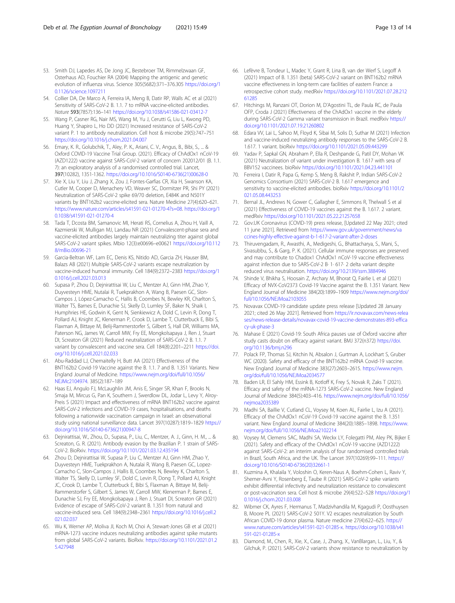- <span id="page-12-0"></span>53. Smith DJ, Lapedes AS, De Jong JC, Bestebroer TM, Rimmelzwaan GF, Osterhaus AD, Fouchier RA (2004) Mapping the antigenic and genetic evolution of influenza virus. Science 305(5682):371–376.305 [https://doi.org/1](https://doi.org/10.1126/science.1097211) [0.1126/science.1097211](https://doi.org/10.1126/science.1097211)
- 54. Collier DA, De Marco A, Ferreira IA, Meng B, Datir RP, Walls AC et al (2021) Sensitivity of SARS-CoV-2 B. 1.1. 7 to mRNA vaccine-elicited antibodies. Nature 593(7857):136–141 <https://doi.org/10.1038/s41586-021-03412-7>
- 55. Wang P, Casner RG, Nair MS, Wang M, Yu J, Cerutti G, Liu L, Kwong PD, Huang Y, Shapiro L, Ho DD (2021) Increased resistance of SARS-CoV-2 variant P. 1 to antibody neutralization. Cell host & microbe 29(5):747–751 <https://doi.org/10.1016/j.chom.2021.04.007>
- 56. Emary, K. R., Golubchik, T., Aley, P. K., Ariani, C. V., Angus, B., Bibi, S., ... & Oxford COVID-19 Vaccine Trial Group. (2021). Efficacy of ChAdOx1 nCoV-19 (AZD1222) vaccine against SARS-CoV-2 variant of concern 202012/01 (B. 1.1. 7): an exploratory analysis of a randomised controlled trial. Lancet, 397(10282), 1351-1362. [https://doi.org/10.1016/S0140-6736\(21\)00628-0](https://doi.org/10.1016/S0140-6736(21)00628-0)
- 57. Xie X, Liu Y, Liu J, Zhang X, Zou J, Fontes-Garfias CR, Xia H, Swanson KA, Cutler M, Cooper D, Menachery VD, Weaver SC, Dormitzer PR, Shi PY (2021) Neutralization of SARS-CoV-2 spike 69/70 deletion, E484K and N501Y variants by BNT162b2 vaccine-elicited sera. Nature Medicine 27(4):620–621. <https://www.nature.com/articles/s41591-021-01270-4?s=08>. [https://doi.org/1](https://doi.org/10.1038/s41591-021-01270-4) [0.1038/s41591-021-01270-4](https://doi.org/10.1038/s41591-021-01270-4)
- 58. Tada T, Dcosta BM, Samanovic MI, Herati RS, Cornelius A, Zhou H, Vaill A, Kazmierski W, Mulligan MJ, Landau NR (2021) Convalescent-phase sera and vaccine-elicited antibodies largely maintain neutralizing titer against global SARS-CoV-2 variant spikes. Mbio 12(3):e00696–e00621 [https://doi.org/10.112](https://doi.org/10.1128/mBio.00696-21) [8/mBio.00696-21](https://doi.org/10.1128/mBio.00696-21)
- 59. Garcia-Beltran WF, Lam EC, Denis KS, Nitido AD, Garcia ZH, Hauser BM, Balazs AB (2021) Multiple SARS-CoV-2 variants escape neutralization by vaccine-induced humoral immunity. Cell 184(9):2372–2383 [https://doi.org/1](https://doi.org/10.1016/j.cell.2021.03.013) [0.1016/j.cell.2021.03.013](https://doi.org/10.1016/j.cell.2021.03.013)
- 60. Supasa P, Zhou D, Dejnirattisai W, Liu C, Mentzer AJ, Ginn HM, Zhao Y, Duyvesteyn HME, Nutalai R, Tuekprakhon A, Wang B, Paesen GC, Slon-Campos J, López-Camacho C, Hallis B, Coombes N, Bewley KR, Charlton S, Walter TS, Barnes E, Dunachie SJ, Skelly D, Lumley SF, Baker N, Shaik I, Humphries HE, Godwin K, Gent N, Sienkiewicz A, Dold C, Levin R, Dong T, Pollard AJ, Knight JC, Klenerman P, Crook D, Lambe T, Clutterbuck E, Bibi S, Flaxman A, Bittaye M, Belij-Rammerstorfer S, Gilbert S, Hall DR, Williams MA, Paterson NG, James W, Carroll MW, Fry EE, Mongkolsapaya J, Ren J, Stuart DI, Screaton GR (2021) Reduced neutralization of SARS-CoV-2 B. 1.1. 7 variant by convalescent and vaccine sera. Cell 184(8):2201–2211 [https://doi.](https://doi.org/10.1016/j.cell.2021.02.033) [org/10.1016/j.cell.2021.02.033](https://doi.org/10.1016/j.cell.2021.02.033)
- 61. Abu-Raddad LJ, Chemaitelly H, Butt AA (2021) Effectiveness of the BNT162b2 Covid-19 Vaccine against the B. 1.1. 7 and B. 1.351 Variants. New England Journal of Medicine. [https://www.nejm.org/doi/full/10.1056/](https://www.nejm.org/doi/full/10.1056/NEJMc2104974) [NEJMc2104974](https://www.nejm.org/doi/full/10.1056/NEJMc2104974). 385(2):187–189
- 62. Haas EJ, Angulo FJ, McLaughlin JM, Anis E, Singer SR, Khan F, Brooks N, Smaja M, Mircus G, Pan K, Southern J, Swerdlow DL, Jodar L, Levy Y, Alroy-Preis S (2021) Impact and effectiveness of mRNA BNT162b2 vaccine against SARS-CoV-2 infections and COVID-19 cases, hospitalisations, and deaths following a nationwide vaccination campaign in Israel: an observational study using national surveillance data. Lancet 397(10287):1819–1829 [https://](https://doi.org/10.1016/S0140-6736(21)00947-8) [doi.org/10.1016/S0140-6736\(21\)00947-8](https://doi.org/10.1016/S0140-6736(21)00947-8)
- 63. Dejnirattisai, W., Zhou, D., Supasa, P., Liu, C., Mentzer, A. J., Ginn, H. M., ... & Screaton, G. R. (2021). Antibody evasion by the Brazilian P. 1 strain of SARS-CoV-2. BioRxiv. <https://doi.org/10.1101/2021.03.12.435194>
- 64. Zhou D, Dejnirattisai W, Supasa P, Liu C, Mentzer AJ, Ginn HM, Zhao Y, Duyvesteyn HME, Tuekprakhon A, Nutalai R, Wang B, Paesen GC, Lopez-Camacho C, Slon-Campos J, Hallis B, Coombes N, Bewley K, Charlton S, Walter TS, Skelly D, Lumley SF, Dold C, Levin R, Dong T, Pollard AJ, Knight JC, Crook D, Lambe T, Clutterbuck E, Bibi S, Flaxman A, Bittaye M, Belij-Rammerstorfer S, Gilbert S, James W, Carroll MW, Klenerman P, Barnes E, Dunachie SJ, Fry EE, Mongkolsapaya J, Ren J, Stuart DI, Screaton GR (2021) Evidence of escape of SARS-CoV-2 variant B. 1.351 from natural and vaccine-induced sera. Cell 184(9):2348–2361 [https://doi.org/10.1016/j.cell.2](https://doi.org/10.1016/j.cell.2021.02.037) [021.02.037](https://doi.org/10.1016/j.cell.2021.02.037)
- 65. Wu K, Werner AP, Moliva JI, Koch M, Choi A, Stewart-Jones GB et al (2021) mRNA-1273 vaccine induces neutralizing antibodies against spike mutants from global SARS-CoV-2 variants. BioRxiv. [https://doi.org/10.1101/2021.01.2](https://doi.org/10.1101/2021.01.25.427948) [5.427948](https://doi.org/10.1101/2021.01.25.427948)
- 66. Lefèvre B, Tondeur L, Madec Y, Grant R, Lina B, van der Werf S, Legoff A (2021) Impact of B. 1.351 (beta) SARS-CoV-2 variant on BNT162b2 mRNA vaccine effectiveness in long-term care facilities of eastern France: a retrospective cohort study. medRxiv [https://doi.org/10.1101/2021.07.28.212](https://doi.org/10.1101/2021.07.28.21261285) [61285](https://doi.org/10.1101/2021.07.28.21261285)
- 67. Hitchings M, Ranzani OT, Dorion M, D'Agostini TL, de Paula RC, de Paula OFP, Croda J (2021) Effectiveness of the ChAdOx1 vaccine in the elderly during SARS-CoV-2 Gamma variant transmission in Brazil. medRxiv [https://](https://doi.org/10.1101/2021.07.19.21260802) [doi.org/10.1101/2021.07.19.21260802](https://doi.org/10.1101/2021.07.19.21260802)
- 68. Edara VV, Lai L, Sahoo M, Floyd K, Sibai M, Solis D, Suthar M (2021) Infection and vaccine-induced neutralizing antibody responses to the SARS-CoV-2 B. 1.617. 1 variant. bioRxiv <https://doi.org/10.1101/2021.05.09.443299>
- 69. Yadav P, Sapkal GN, Abraham P, Ella R, Deshpande G, Patil DY, Mohan VK (2021) Neutralization of variant under investigation B. 1.617 with sera of BBV152 vaccinees. bioRxiv <https://doi.org/10.1101/2021.04.23.441101>
- 70. Ferreira I, Datir R, Papa G, Kemp S, Meng B, Rakshit P, Indian SARS-CoV-2 Genomics Consortium (2021) SARS-CoV-2 B. 1.617 emergence and sensitivity to vaccine-elicited antibodies. bioRxiv [https://doi.org/10.1101/2](https://doi.org/10.1101/2021.05.08.443253) [021.05.08.443253](https://doi.org/10.1101/2021.05.08.443253)
- 71. Bernal JL, Andrews N, Gower C, Gallagher E, Simmons R, Thelwall S et al (2021) Effectiveness of COVID-19 vaccines against the B. 1.617. 2 variant. medRxiv <https://doi.org/10.1101/2021.05.22.21257658>
- 72. Gov.UK Coronavirus (COVID-19) press release, [Updated 22 May 2021; cited 11 june 2021]. Retrieved from [https://www.gov.uk/government/news/va](https://www.gov.uk/government/news/vaccines-highly-effective-against-b-1-617-2-variant-after-2-doses) [ccines-highly-effective-against-b-1-617-2-variant-after-2-doses](https://www.gov.uk/government/news/vaccines-highly-effective-against-b-1-617-2-variant-after-2-doses)
- 73. Thiruvengadam, R., Awasthi, A., Medigeshi, G., Bhattacharya, S., Mani, S., Sivasubbu, S., & Garg, P. K. (2021). Cellular immune responses are preserved and may contribute to Chadox1 ChAdOx1 nCoV-19 vaccine effectiveness against infection due to SARS-CoV-2 B· 1· 617· 2 delta variant despite reduced virus neutralisation. <https://doi.org/10.2139/ssrn.3884946>
- 74. Shinde V, Bhikha S, Hoosain Z, Archary M, Bhorat Q, Fairlie L et al (2021) Efficacy of NVX-CoV2373 Covid-19 Vaccine against the B. 1.351 Variant. New England Journal of Medicine 384(20):1899–1909 [https://www.nejm.org/doi/](https://www.nejm.org/doi/full/10.1056/NEJMoa2103055) [full/10.1056/NEJMoa2103055](https://www.nejm.org/doi/full/10.1056/NEJMoa2103055)
- 75. Novavax COVID-19 candidate update press release [Updated 28 January 2021; cited 26 May 2021]. Retrieved from [https://ir.novavax.com/news-relea](https://ir.novavax.com/news-releases/news-release-details/novavax-covid-19-vaccine-demonstrates-893-efficacy-uk-phase-3) [ses/news-release-details/novavax-covid-19-vaccine-demonstrates-893-effica](https://ir.novavax.com/news-releases/news-release-details/novavax-covid-19-vaccine-demonstrates-893-efficacy-uk-phase-3) [cy-uk-phase-3](https://ir.novavax.com/news-releases/news-release-details/novavax-covid-19-vaccine-demonstrates-893-efficacy-uk-phase-3)
- 76. Mahase E (2021) Covid-19: South Africa pauses use of Oxford vaccine after study casts doubt on efficacy against variant. BMJ 372(n372) [https://doi.](https://doi.org/10.1136/bmj.n296) [org/10.1136/bmj.n296](https://doi.org/10.1136/bmj.n296)
- 77. Polack FP, Thomas SJ, Kitchin N, Absalon J, Gurtman A, Lockhart S, Gruber WC (2020). Safety and efficacy of the BNT162b2 mRNA Covid-19 vaccine. New England Journal of Medicine 383(27):2603–2615. [https://www.nejm.](https://www.nejm.org/doi/full/10.1056/NEJMoa2034577) [org/doi/full/10.1056/NEJMoa2034577](https://www.nejm.org/doi/full/10.1056/NEJMoa2034577)
- 78. Baden LR, El Sahly HM, Essink B, Kotloff K, Frey S, Novak R, Zaks T (2021). Efficacy and safety of the mRNA-1273 SARS-CoV-2 vaccine. New England Journal of Medicine 384(5):403–416. [https://www.nejm.org/doi/full/10.1056/](https://www.nejm.org/doi/full/10.1056/nejmoa2035389) [nejmoa2035389](https://www.nejm.org/doi/full/10.1056/nejmoa2035389)
- 79. Madhi SA, Baillie V, Cutland CL, Voysey M, Koen AL, Fairlie L, Izu A (2021). Efficacy of the ChAdOx1 nCoV-19 Covid-19 vaccine against the B. 1.351 variant. New England Journal of Medicine 384(20):1885–1898. [https://www.](https://www.nejm.org/doi/full/10.1056/NEJMoa2102214) [nejm.org/doi/full/10.1056/NEJMoa2102214](https://www.nejm.org/doi/full/10.1056/NEJMoa2102214)
- 80. Voysey M, Clemens SAC, Madhi SA, Weckx LY, Folegatti PM, Aley PK, Bijker E (2021). Safety and efficacy of the ChAdOx1 nCoV-19 vaccine (AZD1222) against SARS-CoV-2: an interim analysis of four randomised controlled trials in Brazil, South Africa, and the UK. The Lancet 397(10269):99–111. [https://](https://doi.org/10.1016/S0140-6736(20)32661-1) [doi.org/10.1016/S0140-6736\(20\)32661-1](https://doi.org/10.1016/S0140-6736(20)32661-1)
- 81. Kuzmina A, Khalaila Y, Voloshin O, Keren-Naus A, Boehm-Cohen L, Raviv Y, Shemer-Avni Y, Rosenberg E, Taube R (2021) SARS-CoV-2 spike variants exhibit differential infectivity and neutralization resistance to convalescent or post-vaccination sera. Cell host & microbe 29(4):522–528 [https://doi.org/1](https://doi.org/10.1016/j.chom.2021.03.008) [0.1016/j.chom.2021.03.008](https://doi.org/10.1016/j.chom.2021.03.008)
- 82. Wibmer CK, Ayres F, Hermanus T, Madzivhandila M, Kgagudi P, Oosthuysen B, Moore PL (2021) SARS-CoV-2 501Y. V2 escapes neutralization by South African COVID-19 donor plasma. Nature medicine 27(4):622–625. [https://](https://www.nature.com/articles/s41591-021-01285-x) [www.nature.com/articles/s41591-021-01285-x](https://www.nature.com/articles/s41591-021-01285-x). [https://doi.org/10.1038/s41](https://doi.org/10.1038/s41591-021-01285-x) [591-021-01285-x](https://doi.org/10.1038/s41591-021-01285-x)
- 83. Diamond, M., Chen, R., Xie, X., Case, J., Zhang, X., VanBlargan, L., Liu, Y., & Gilchuk, P. (2021). SARS-CoV-2 variants show resistance to neutralization by